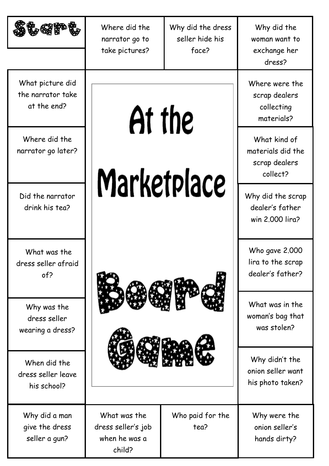

Where did the narrator go to take pictures?

Why did the dress seller hide his face?

Why did the woman want to exchange her dress?

What picture did the narrator take at the end?

Where did the narrator go later?

Did the narrator drink his tea?

What was the dress seller afraid of?

Why was the dress seller wearing a dress?

When did the dress seller leave his school?

Why did a man give the dress seller a gun?

## At the Marketplace

## Marketplace





What was the dress seller's job when he was a child?

Who paid for the tea?

Where were the scrap dealers collecting materials?

What kind of materials did the scrap dealers collect?

Why did the scrap dealer's father win 2.000 lira?

Who gave 2.000 lira to the scrap dealer's father?

What was in the woman's bag that was stolen?

Why didn't the onion seller want his photo taken?

Why were the onion seller's hands dirty?